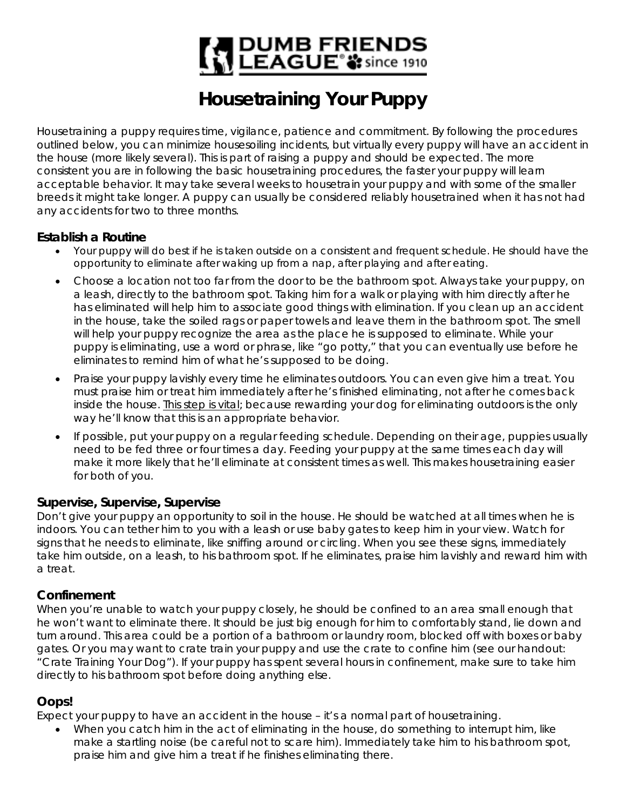# | DUMB FRIENDS<br>| LEAGUE® 3: since 1910

## **Housetraining Your Puppy**

Housetraining a puppy requires time, vigilance, patience and commitment. By following the procedures outlined below, you can minimize housesoiling incidents, but virtually every puppy will have an accident in the house (more likely several). This is part of raising a puppy and should be expected. The more consistent you are in following the basic housetraining procedures, the faster your puppy will learn acceptable behavior. It may take several weeks to housetrain your puppy and with some of the smaller breeds it might take longer. A puppy can usually be considered reliably housetrained when it has not had any accidents for two to three months.

#### **Establish a Routine**

- Your puppy will do best if he is taken outside on a consistent and frequent schedule. He should have the opportunity to eliminate after waking up from a nap, after playing and after eating.
- Choose a location not too far from the door to be the bathroom spot. Always take your puppy, on a leash, directly to the bathroom spot. Taking him for a walk or playing with him directly after he has eliminated will help him to associate good things with elimination. If you clean up an accident in the house, take the soiled rags or paper towels and leave them in the bathroom spot. The smell will help your puppy recognize the area as the place he is supposed to eliminate. While your puppy is eliminating, use a word or phrase, like "go potty," that you can eventually use before he eliminates to remind him of what he's supposed to be doing.
- Praise your puppy lavishly every time he eliminates outdoors. You can even give him a treat. You must praise him or treat him immediately after he's finished eliminating, not after he comes back inside the house. This step is vital; because rewarding your dog for eliminating outdoors is the only way he'll know that this is an appropriate behavior.
- If possible, put your puppy on a regular feeding schedule. Depending on their age, puppies usually need to be fed three or four times a day. Feeding your puppy at the same times each day will make it more likely that he'll eliminate at consistent times as well. This makes housetraining easier for both of you.

#### **Supervise, Supervise, Supervise**

Don't give your puppy an opportunity to soil in the house. He should be watched at all times when he is indoors. You can tether him to you with a leash or use baby gates to keep him in your view. Watch for signs that he needs to eliminate, like sniffing around or circling. When you see these signs, immediately take him outside, on a leash, to his bathroom spot. If he eliminates, praise him lavishly and reward him with a treat.

#### **Confinement**

When you're unable to watch your puppy closely, he should be confined to an area small enough that he won't want to eliminate there. It should be just big enough for him to comfortably stand, lie down and turn around. This area could be a portion of a bathroom or laundry room, blocked off with boxes or baby gates. Or you may want to crate train your puppy and use the crate to confine him (see our handout: "Crate Training Your Dog"). If your puppy has spent several hours in confinement, make sure to take him directly to his bathroom spot before doing anything else.

### **Oops!**

Expect your puppy to have an accident in the house – it's a normal part of housetraining.

• When you catch him in the act of eliminating in the house, do something to interrupt him, like make a startling noise (be careful not to scare him). Immediately take him to his bathroom spot, praise him and give him a treat if he finishes eliminating there.